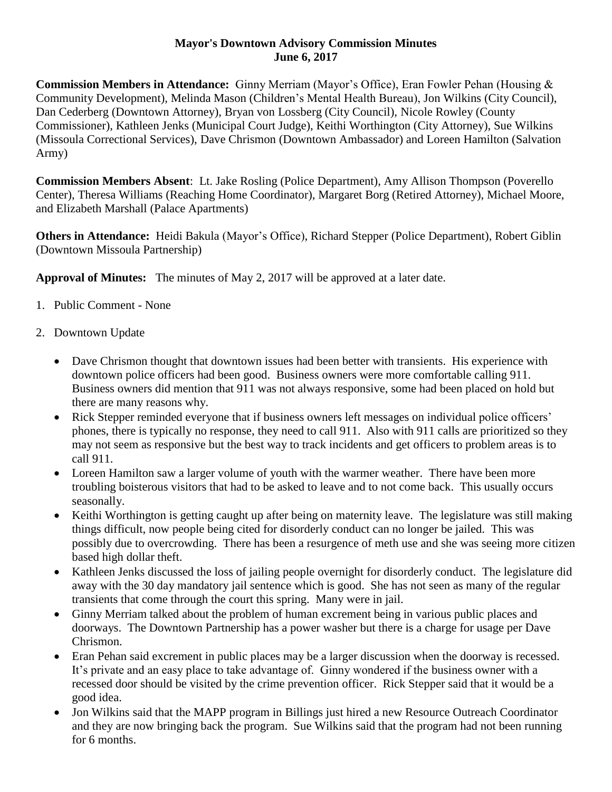## **Mayor's Downtown Advisory Commission Minutes June 6, 2017**

**Commission Members in Attendance:** Ginny Merriam (Mayor's Office), Eran Fowler Pehan (Housing & Community Development), Melinda Mason (Children's Mental Health Bureau), Jon Wilkins (City Council), Dan Cederberg (Downtown Attorney), Bryan von Lossberg (City Council), Nicole Rowley (County Commissioner), Kathleen Jenks (Municipal Court Judge), Keithi Worthington (City Attorney), Sue Wilkins (Missoula Correctional Services), Dave Chrismon (Downtown Ambassador) and Loreen Hamilton (Salvation Army)

**Commission Members Absent**: Lt. Jake Rosling (Police Department), Amy Allison Thompson (Poverello Center), Theresa Williams (Reaching Home Coordinator), Margaret Borg (Retired Attorney), Michael Moore, and Elizabeth Marshall (Palace Apartments)

**Others in Attendance:** Heidi Bakula (Mayor's Office), Richard Stepper (Police Department), Robert Giblin (Downtown Missoula Partnership)

**Approval of Minutes:** The minutes of May 2, 2017 will be approved at a later date.

- 1. Public Comment None
- 2. Downtown Update
	- Dave Chrismon thought that downtown issues had been better with transients. His experience with downtown police officers had been good. Business owners were more comfortable calling 911. Business owners did mention that 911 was not always responsive, some had been placed on hold but there are many reasons why.
	- Rick Stepper reminded everyone that if business owners left messages on individual police officers' phones, there is typically no response, they need to call 911. Also with 911 calls are prioritized so they may not seem as responsive but the best way to track incidents and get officers to problem areas is to call 911.
	- Loreen Hamilton saw a larger volume of youth with the warmer weather. There have been more troubling boisterous visitors that had to be asked to leave and to not come back. This usually occurs seasonally.
	- Keithi Worthington is getting caught up after being on maternity leave. The legislature was still making things difficult, now people being cited for disorderly conduct can no longer be jailed. This was possibly due to overcrowding. There has been a resurgence of meth use and she was seeing more citizen based high dollar theft.
	- Kathleen Jenks discussed the loss of jailing people overnight for disorderly conduct. The legislature did away with the 30 day mandatory jail sentence which is good. She has not seen as many of the regular transients that come through the court this spring. Many were in jail.
	- Ginny Merriam talked about the problem of human excrement being in various public places and doorways. The Downtown Partnership has a power washer but there is a charge for usage per Dave Chrismon.
	- Eran Pehan said excrement in public places may be a larger discussion when the doorway is recessed. It's private and an easy place to take advantage of. Ginny wondered if the business owner with a recessed door should be visited by the crime prevention officer. Rick Stepper said that it would be a good idea.
	- Jon Wilkins said that the MAPP program in Billings just hired a new Resource Outreach Coordinator and they are now bringing back the program. Sue Wilkins said that the program had not been running for 6 months.